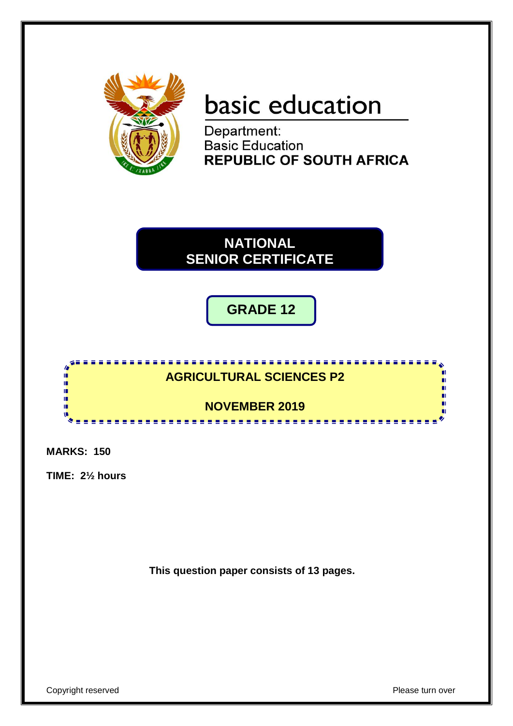

# basic education

Department: **Basic Education REPUBLIC OF SOUTH AFRICA** 



**GRADE 12**

 $\overline{\phantom{C}}$ 



**MARKS: 150**

**TIME: 2½ hours**

**This question paper consists of 13 pages.**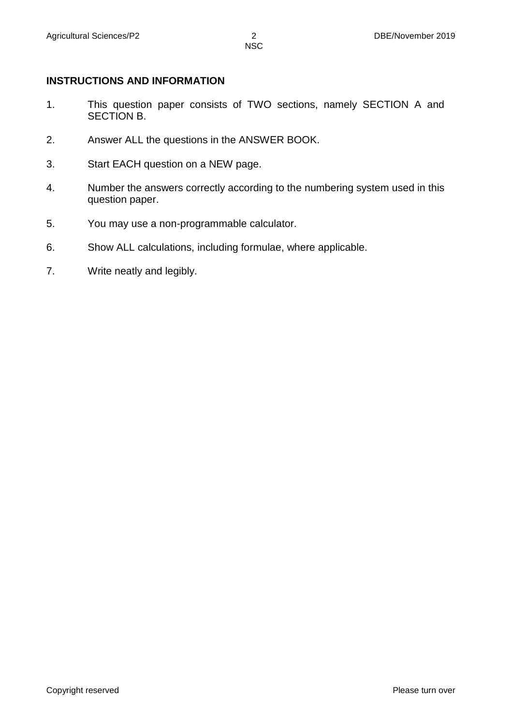# **INSTRUCTIONS AND INFORMATION**

- 1. This question paper consists of TWO sections, namely SECTION A and SECTION B.
- 2. Answer ALL the questions in the ANSWER BOOK.
- 3. Start EACH question on a NEW page.
- 4. Number the answers correctly according to the numbering system used in this question paper.
- 5. You may use a non-programmable calculator.
- 6. Show ALL calculations, including formulae, where applicable.
- 7. Write neatly and legibly.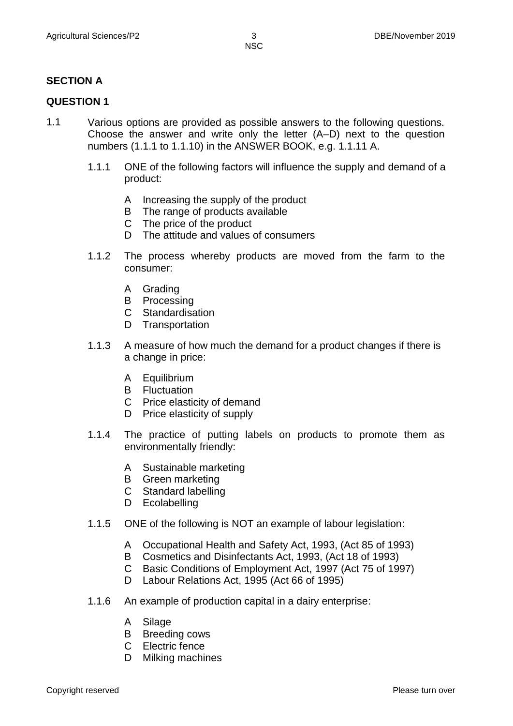# **SECTION A**

# **QUESTION 1**

- 1.1 Various options are provided as possible answers to the following questions. Choose the answer and write only the letter (A–D) next to the question numbers (1.1.1 to 1.1.10) in the ANSWER BOOK, e.g. 1.1.11 A.
	- 1.1.1 ONE of the following factors will influence the supply and demand of a product:
		- A Increasing the supply of the product
		- B The range of products available
		- C The price of the product
		- D The attitude and values of consumers
	- 1.1.2 The process whereby products are moved from the farm to the consumer:
		- A Grading
		- B Processing
		- C Standardisation
		- D Transportation
	- 1.1.3 A measure of how much the demand for a product changes if there is a change in price:
		- A Equilibrium
		- B Fluctuation
		- C Price elasticity of demand
		- D Price elasticity of supply
	- 1.1.4 The practice of putting labels on products to promote them as environmentally friendly:
		- A Sustainable marketing
		- B Green marketing
		- C Standard labelling
		- D Ecolabelling
	- 1.1.5 ONE of the following is NOT an example of labour legislation:
		- A Occupational Health and Safety Act, 1993, (Act 85 of 1993)
		- B Cosmetics and Disinfectants Act, 1993, (Act 18 of 1993)
		- C Basic Conditions of Employment Act, 1997 (Act 75 of 1997)
		- D Labour Relations Act, 1995 (Act 66 of 1995)
	- 1.1.6 An example of production capital in a dairy enterprise:
		- A Silage
		- B Breeding cows
		- C Electric fence
		- D Milking machines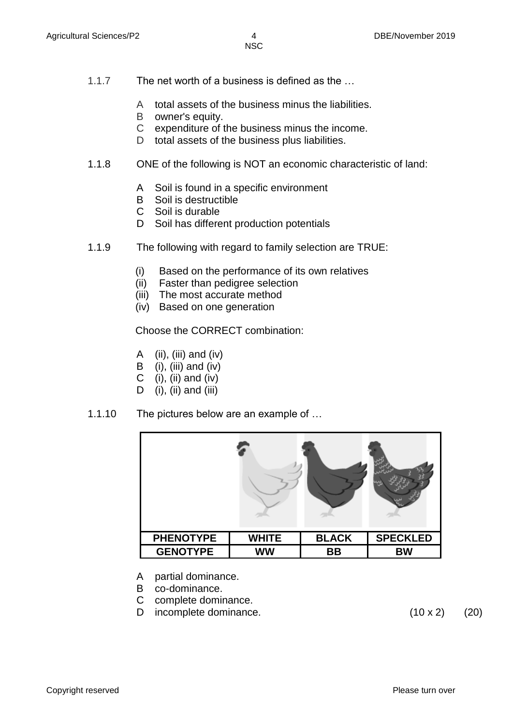- 1.1.7 The net worth of a business is defined as the …
	- A total assets of the business minus the liabilities.
	- B owner's equity.
	- C expenditure of the business minus the income.
	- D total assets of the business plus liabilities.
- 1.1.8 ONE of the following is NOT an economic characteristic of land:
	- A Soil is found in a specific environment
	- B Soil is destructible
	- C Soil is durable
	- D Soil has different production potentials
- 1.1.9 The following with regard to family selection are TRUE:
	- (i) Based on the performance of its own relatives
	- (ii) Faster than pedigree selection
	- (iii) The most accurate method
	- (iv) Based on one generation

#### Choose the CORRECT combination:

- A  $(ii)$ ,  $(iii)$  and  $(iv)$
- B (i), (iii) and (iv)
- C (i), (ii) and (iv)
- D (i), (ii) and (iii)
- 1.1.10 The pictures below are an example of …

| <b>PHENOTYPE</b> | <b>WHITE</b> | <b>BLACK</b> | <b>SPECKLED</b> |
|------------------|--------------|--------------|-----------------|
| <b>GENOTYPE</b>  | <b>WW</b>    | <b>BB</b>    | <b>BW</b>       |

- A partial dominance.
- B co-dominance.
- C complete dominance.
- D incomplete dominance. (10 x 2) (20)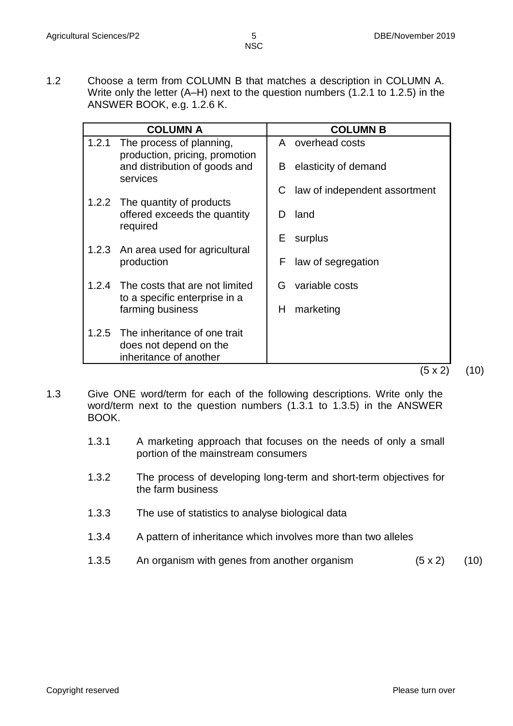1.2 Choose a term from COLUMN B that matches a description in COLUMN A. Write only the letter (A–H) next to the question numbers (1.2.1 to 1.2.5) in the ANSWER BOOK, e.g. 1.2.6 K.

| <b>COLUMN A</b>                                                                           | <b>COLUMN B</b>                    |
|-------------------------------------------------------------------------------------------|------------------------------------|
| 1.2.1<br>The process of planning,<br>production, pricing, promotion                       | A overhead costs                   |
| and distribution of goods and<br>services                                                 | elasticity of demand<br>B          |
|                                                                                           | law of independent assortment<br>С |
| 1.2.2 The quantity of products<br>offered exceeds the quantity<br>required                | land<br>D                          |
|                                                                                           | Е<br>surplus                       |
| 1.2.3 An area used for agricultural<br>production                                         | F<br>law of segregation            |
| 1.2.4 The costs that are not limited                                                      | variable costs<br>G                |
| to a specific enterprise in a<br>farming business                                         | marketing<br>H                     |
| The inheritance of one trait<br>1.2.5<br>does not depend on the<br>inheritance of another |                                    |
|                                                                                           | (5 x 2)                            |

- 1.3 Give ONE word/term for each of the following descriptions. Write only the word/term next to the question numbers (1.3.1 to 1.3.5) in the ANSWER BOOK.
	- 1.3.1 A marketing approach that focuses on the needs of only a small portion of the mainstream consumers
	- 1.3.2 The process of developing long-term and short-term objectives for the farm business
	- 1.3.3 The use of statistics to analyse biological data
	- 1.3.4 A pattern of inheritance which involves more than two alleles
	- 1.3.5 An organism with genes from another organism  $(5 \times 2)$  (10)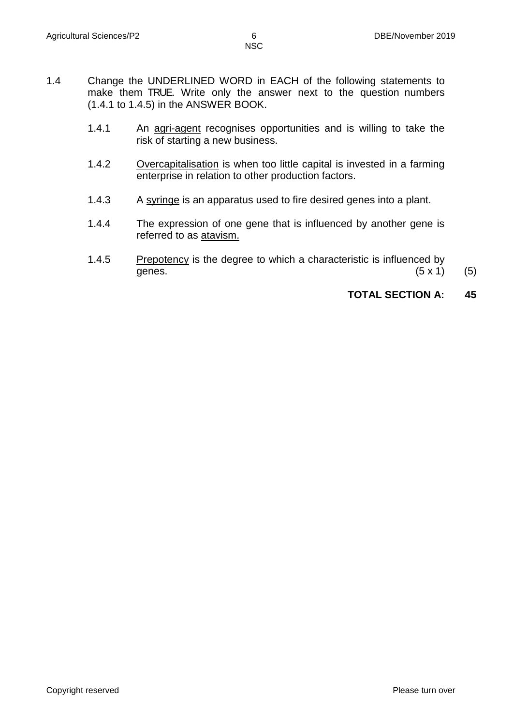- 1.4 Change the UNDERLINED WORD in EACH of the following statements to make them TRUE. Write only the answer next to the question numbers (1.4.1 to 1.4.5) in the ANSWER BOOK.
	- 1.4.1 An agri-agent recognises opportunities and is willing to take the risk of starting a new business.
	- 1.4.2 Overcapitalisation is when too little capital is invested in a farming enterprise in relation to other production factors.
	- 1.4.3 A syringe is an apparatus used to fire desired genes into a plant.
	- 1.4.4 The expression of one gene that is influenced by another gene is referred to as atavism.
	- 1.4.5 Prepotency is the degree to which a characteristic is influenced by genes.  $(5 \times 1)$  (5)

# **TOTAL SECTION A: 45**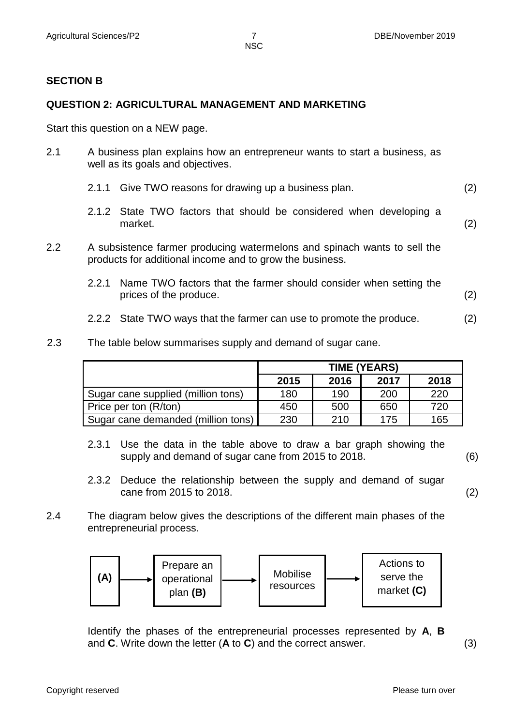### **SECTION B**

#### **QUESTION 2: AGRICULTURAL MANAGEMENT AND MARKETING**

Start this question on a NEW page.

- 2.1 A business plan explains how an entrepreneur wants to start a business, as well as its goals and objectives.
	- 2.1.1 Give TWO reasons for drawing up a business plan. (2)
	- 2.1.2 State TWO factors that should be considered when developing a market. (2)
- 2.2 A subsistence farmer producing watermelons and spinach wants to sell the products for additional income and to grow the business.
	- 2.2.1 Name TWO factors that the farmer should consider when setting the prices of the produce. (2)
	- 2.2.2 State TWO ways that the farmer can use to promote the produce. (2)
- 2.3 The table below summarises supply and demand of sugar cane.

|                                    | <b>TIME (YEARS)</b> |      |      |      |  |
|------------------------------------|---------------------|------|------|------|--|
|                                    | 2015                | 2016 | 2017 | 2018 |  |
| Sugar cane supplied (million tons) | 180                 | 190  | 200  | 220  |  |
| Price per ton (R/ton)              | 450                 | 500  | 650  | 720  |  |
| Sugar cane demanded (million tons) | 230                 | 210  | 175  | 165  |  |

- 2.3.1 Use the data in the table above to draw a bar graph showing the supply and demand of sugar cane from 2015 to 2018. (6)
- 2.3.2 Deduce the relationship between the supply and demand of sugar cane from 2015 to 2018. (2)
	-
- 2.4 The diagram below gives the descriptions of the different main phases of the entrepreneurial process.



Identify the phases of the entrepreneurial processes represented by A, B and **C**. Write down the letter (**A** to **C**) and the correct answer. (3)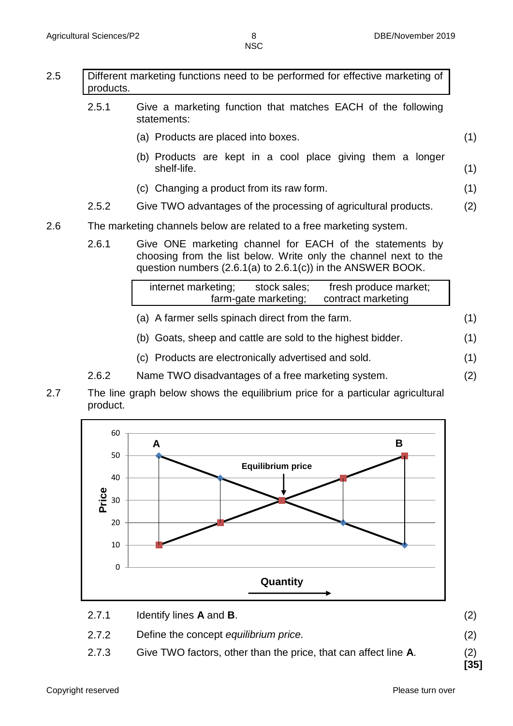(1)

- 2.5 Different marketing functions need to be performed for effective marketing of products. 2.5.1 Give a marketing function that matches EACH of the following statements: (a) Products are placed into boxes. (1)
	- (b) Products are kept in a cool place giving them a longer shelf-life. (1)
	- (c) Changing a product from its raw form.
	- 2.5.2 Give TWO advantages of the processing of agricultural products. (2)
- 2.6 The marketing channels below are related to a free marketing system.
	- 2.6.1 Give ONE marketing channel for EACH of the statements by choosing from the list below. Write only the channel next to the question numbers (2.6.1(a) to 2.6.1(c)) in the ANSWER BOOK.

|                      | internet marketing; | stock sales;       | fresh produce market; |
|----------------------|---------------------|--------------------|-----------------------|
| farm-gate marketing; |                     | contract marketing |                       |

- (a) A farmer sells spinach direct from the farm. (1)
- (b) Goats, sheep and cattle are sold to the highest bidder. (1)
- (c) Products are electronically advertised and sold. (1)
- 2.6.2 Name TWO disadvantages of a free marketing system. (2)
- 2.7 The line graph below shows the equilibrium price for a particular agricultural product.



- 2.7.1 Identify lines **A** and **B**.
- 2.7.2 Define the concept *equilibrium price.*
- 2.7.3 Give TWO factors, other than the price, that can affect line **A**. (2)

(2)

(2)

**[35]**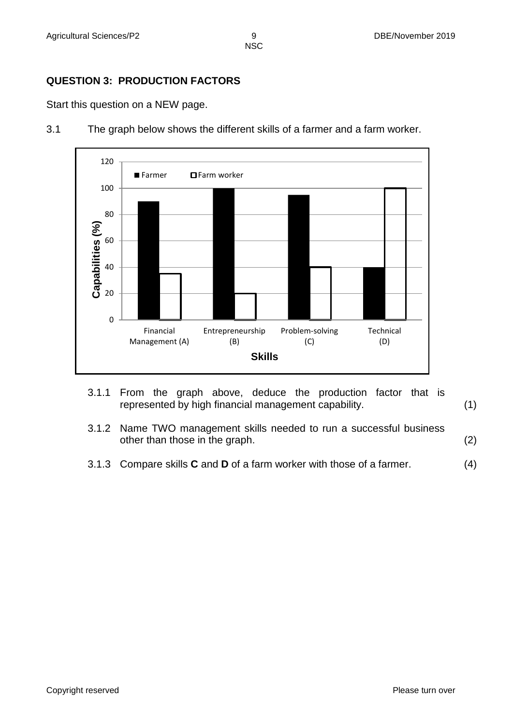# **QUESTION 3: PRODUCTION FACTORS**

Start this question on a NEW page.



3.1 The graph below shows the different skills of a farmer and a farm worker.

- 3.1.1 From the graph above, deduce the production factor that is represented by high financial management capability. (1)
- 3.1.2 Name TWO management skills needed to run a successful business other than those in the graph. (2)
- 3.1.3 Compare skills **C** and **D** of a farm worker with those of a farmer. (4)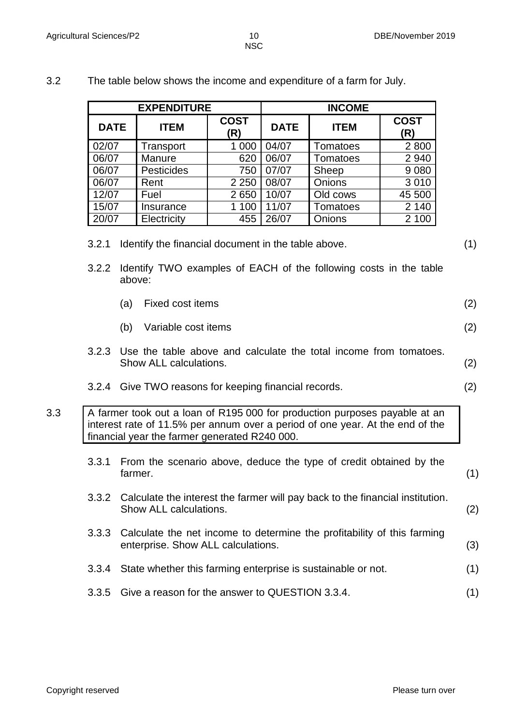(2)

**EXPENDITURE INCOME**

| <b>DATE</b> | <b>ITEM</b>       | <b>COST</b><br>(R) | <b>DATE</b> | <b>ITEM</b>     | <b>COST</b><br>(R) |
|-------------|-------------------|--------------------|-------------|-----------------|--------------------|
| 02/07       | Transport         | 1 000              | 04/07       | Tomatoes        | 2800               |
| 06/07       | Manure            | 620                | 06/07       | <b>Tomatoes</b> | 2 9 4 0            |
| 06/07       | <b>Pesticides</b> | 750                | 07/07       | Sheep           | 9080               |
| 06/07       | Rent              | 2 2 5 0            | 08/07       | Onions          | 3 0 1 0            |
| 12/07       | Fuel              | 2650               | 10/07       | Old cows        | 45 500             |
| 15/07       | Insurance         | 1 100              | 11/07       | Tomatoes        | 2 140              |
| 20/07       | Electricity       | 455                | 26/07       | Onions          | 2 100              |

#### 3.2 The table below shows the income and expenditure of a farm for July.

3.2.2 Identify TWO examples of EACH of the following costs in the table above:

| (a) Fixed cost items |  |
|----------------------|--|
|                      |  |

- (b) Variable cost items
- 3.2.3 Use the table above and calculate the total income from tomatoes. Show ALL calculations. (2)
- 3.2.4 Give TWO reasons for keeping financial records. (2)

## 3.3 A farmer took out a loan of R195 000 for production purposes payable at an interest rate of 11.5% per annum over a period of one year. At the end of the financial year the farmer generated R240 000.

- 3.3.1 From the scenario above, deduce the type of credit obtained by the farmer. (1)
- 3.3.2 Calculate the interest the farmer will pay back to the financial institution. Show ALL calculations. (2)
- 3.3.3 Calculate the net income to determine the profitability of this farming enterprise. Show ALL calculations. (3)
- 3.3.4 State whether this farming enterprise is sustainable or not. (1)
- 3.3.5 Give a reason for the answer to QUESTION 3.3.4. (1)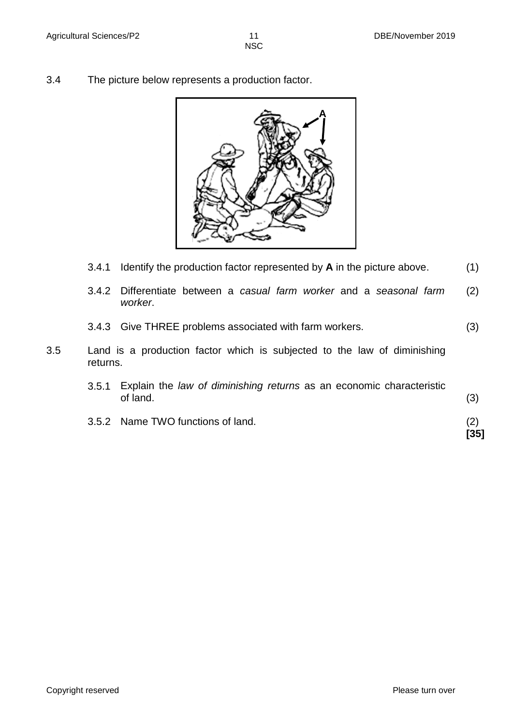3.4 The picture below represents a production factor.



- 3.4.1 Identify the production factor represented by **A** in the picture above. (1)
- 3.4.2 Differentiate between a *casual farm worker* and a *seasonal farm worker*. (2)
- 3.4.3 Give THREE problems associated with farm workers. (3)
- 3.5 Land is a production factor which is subjected to the law of diminishing returns.
	- 3.5.1 Explain the *law of diminishing returns* as an economic characteristic of land. (3)
	- 3.5.2 Name TWO functions of land. (2)

**[35]**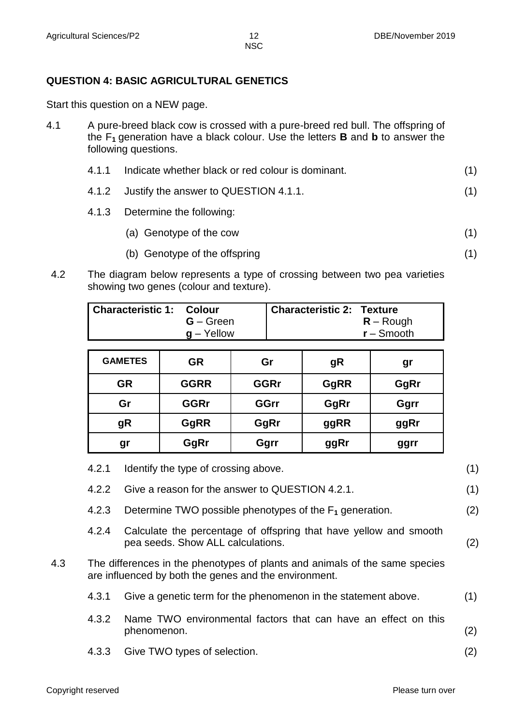(1)

# **QUESTION 4: BASIC AGRICULTURAL GENETICS**

Start this question on a NEW page.

4.1 A pure-breed black cow is crossed with a pure-breed red bull. The offspring of the F**<sup>1</sup>** generation have a black colour. Use the letters **B** and **b** to answer the following questions.

|  | 4.1.1 Indicate whether black or red colour is dominant. |  |
|--|---------------------------------------------------------|--|
|--|---------------------------------------------------------|--|

- 4.1.2 Justify the answer to QUESTION 4.1.1. (1)
- 4.1.3 Determine the following:
	- (a) Genotype of the cow (1)
	- (b) Genotype of the offspring
- 4.2 The diagram below represents a type of crossing between two pea varieties showing two genes (colour and texture).

| <b>Characteristic 1: Colour</b> |               | Characteristic 2: Texture |              |
|---------------------------------|---------------|---------------------------|--------------|
|                                 | $G - Green$   |                           | $R -$ Rough  |
|                                 | $g - Y$ ellow |                           | $r -$ Smooth |
|                                 |               |                           |              |

| <b>GAMETES</b> | <b>GR</b>   | Gr          | gR   | gr   |
|----------------|-------------|-------------|------|------|
| <b>GR</b>      | <b>GGRR</b> | <b>GGRr</b> | GgRR | GgRr |
| Gr             | <b>GGRr</b> | <b>GGrr</b> | GgRr | Ggrr |
| gR             | GgRR        | GgRr        | ggRR | ggRr |
| gr             | GgRr        | Ggrr        | ggRr | ggrr |

| 4.2.1 | Identify the type of crossing above.                                                                   | (1)                                                                                                                                  |
|-------|--------------------------------------------------------------------------------------------------------|--------------------------------------------------------------------------------------------------------------------------------------|
| 4.2.2 | Give a reason for the answer to QUESTION 4.2.1.                                                        | (1)                                                                                                                                  |
| 4.2.3 | Determine TWO possible phenotypes of the $F_1$ generation.                                             | (2)                                                                                                                                  |
| 4.2.4 | Calculate the percentage of offspring that have yellow and smooth<br>pea seeds. Show ALL calculations. | (2)                                                                                                                                  |
|       |                                                                                                        |                                                                                                                                      |
| 4.3.1 | Give a genetic term for the phenomenon in the statement above.                                         | (1)                                                                                                                                  |
| 4.3.2 | Name TWO environmental factors that can have an effect on this<br>phenomenon.                          | (2)                                                                                                                                  |
| 4.3.3 | Give TWO types of selection.                                                                           | (2)                                                                                                                                  |
|       |                                                                                                        | The differences in the phenotypes of plants and animals of the same species<br>are influenced by both the genes and the environment. |